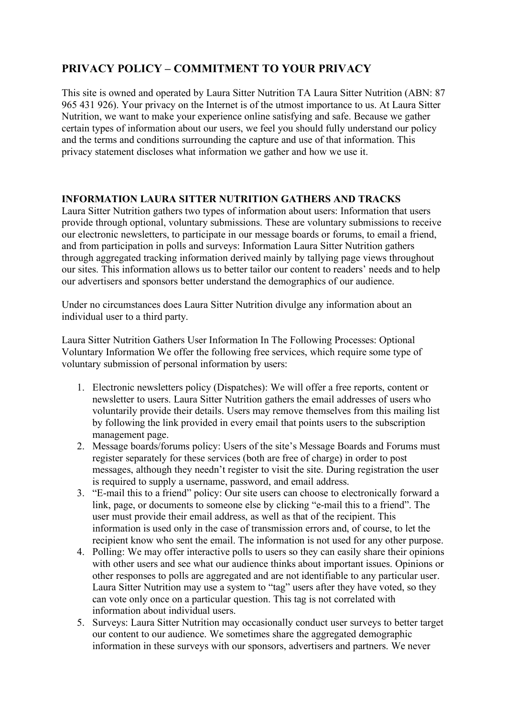# **PRIVACY POLICY – COMMITMENT TO YOUR PRIVACY**

This site is owned and operated by Laura Sitter Nutrition TA Laura Sitter Nutrition (ABN: 87 965 431 926). Your privacy on the Internet is of the utmost importance to us. At Laura Sitter Nutrition, we want to make your experience online satisfying and safe. Because we gather certain types of information about our users, we feel you should fully understand our policy and the terms and conditions surrounding the capture and use of that information. This privacy statement discloses what information we gather and how we use it.

## **INFORMATION LAURA SITTER NUTRITION GATHERS AND TRACKS**

Laura Sitter Nutrition gathers two types of information about users: Information that users provide through optional, voluntary submissions. These are voluntary submissions to receive our electronic newsletters, to participate in our message boards or forums, to email a friend, and from participation in polls and surveys: Information Laura Sitter Nutrition gathers through aggregated tracking information derived mainly by tallying page views throughout our sites. This information allows us to better tailor our content to readers' needs and to help our advertisers and sponsors better understand the demographics of our audience.

Under no circumstances does Laura Sitter Nutrition divulge any information about an individual user to a third party.

Laura Sitter Nutrition Gathers User Information In The Following Processes: Optional Voluntary Information We offer the following free services, which require some type of voluntary submission of personal information by users:

- 1. Electronic newsletters policy (Dispatches): We will offer a free reports, content or newsletter to users. Laura Sitter Nutrition gathers the email addresses of users who voluntarily provide their details. Users may remove themselves from this mailing list by following the link provided in every email that points users to the subscription management page.
- 2. Message boards/forums policy: Users of the site's Message Boards and Forums must register separately for these services (both are free of charge) in order to post messages, although they needn't register to visit the site. During registration the user is required to supply a username, password, and email address.
- 3. "E-mail this to a friend" policy: Our site users can choose to electronically forward a link, page, or documents to someone else by clicking "e-mail this to a friend". The user must provide their email address, as well as that of the recipient. This information is used only in the case of transmission errors and, of course, to let the recipient know who sent the email. The information is not used for any other purpose.
- 4. Polling: We may offer interactive polls to users so they can easily share their opinions with other users and see what our audience thinks about important issues. Opinions or other responses to polls are aggregated and are not identifiable to any particular user. Laura Sitter Nutrition may use a system to "tag" users after they have voted, so they can vote only once on a particular question. This tag is not correlated with information about individual users.
- 5. Surveys: Laura Sitter Nutrition may occasionally conduct user surveys to better target our content to our audience. We sometimes share the aggregated demographic information in these surveys with our sponsors, advertisers and partners. We never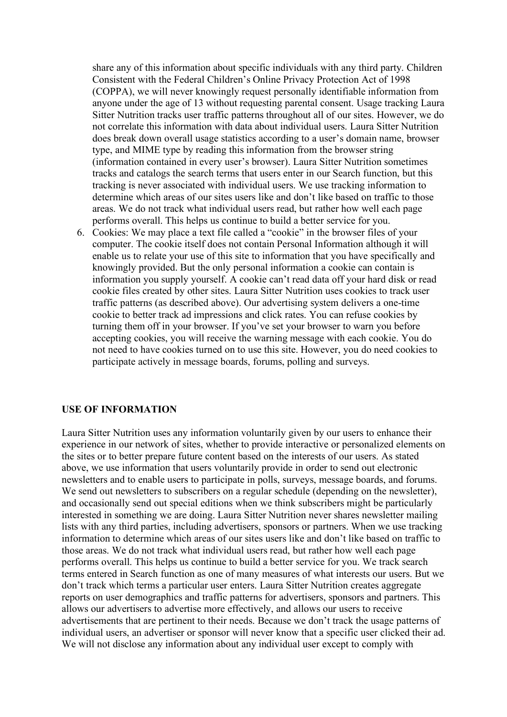share any of this information about specific individuals with any third party. Children Consistent with the Federal Children's Online Privacy Protection Act of 1998 (COPPA), we will never knowingly request personally identifiable information from anyone under the age of 13 without requesting parental consent. Usage tracking Laura Sitter Nutrition tracks user traffic patterns throughout all of our sites. However, we do not correlate this information with data about individual users. Laura Sitter Nutrition does break down overall usage statistics according to a user's domain name, browser type, and MIME type by reading this information from the browser string (information contained in every user's browser). Laura Sitter Nutrition sometimes tracks and catalogs the search terms that users enter in our Search function, but this tracking is never associated with individual users. We use tracking information to determine which areas of our sites users like and don't like based on traffic to those areas. We do not track what individual users read, but rather how well each page performs overall. This helps us continue to build a better service for you.

6. Cookies: We may place a text file called a "cookie" in the browser files of your computer. The cookie itself does not contain Personal Information although it will enable us to relate your use of this site to information that you have specifically and knowingly provided. But the only personal information a cookie can contain is information you supply yourself. A cookie can't read data off your hard disk or read cookie files created by other sites. Laura Sitter Nutrition uses cookies to track user traffic patterns (as described above). Our advertising system delivers a one-time cookie to better track ad impressions and click rates. You can refuse cookies by turning them off in your browser. If you've set your browser to warn you before accepting cookies, you will receive the warning message with each cookie. You do not need to have cookies turned on to use this site. However, you do need cookies to participate actively in message boards, forums, polling and surveys.

### **USE OF INFORMATION**

Laura Sitter Nutrition uses any information voluntarily given by our users to enhance their experience in our network of sites, whether to provide interactive or personalized elements on the sites or to better prepare future content based on the interests of our users. As stated above, we use information that users voluntarily provide in order to send out electronic newsletters and to enable users to participate in polls, surveys, message boards, and forums. We send out newsletters to subscribers on a regular schedule (depending on the newsletter), and occasionally send out special editions when we think subscribers might be particularly interested in something we are doing. Laura Sitter Nutrition never shares newsletter mailing lists with any third parties, including advertisers, sponsors or partners. When we use tracking information to determine which areas of our sites users like and don't like based on traffic to those areas. We do not track what individual users read, but rather how well each page performs overall. This helps us continue to build a better service for you. We track search terms entered in Search function as one of many measures of what interests our users. But we don't track which terms a particular user enters. Laura Sitter Nutrition creates aggregate reports on user demographics and traffic patterns for advertisers, sponsors and partners. This allows our advertisers to advertise more effectively, and allows our users to receive advertisements that are pertinent to their needs. Because we don't track the usage patterns of individual users, an advertiser or sponsor will never know that a specific user clicked their ad. We will not disclose any information about any individual user except to comply with